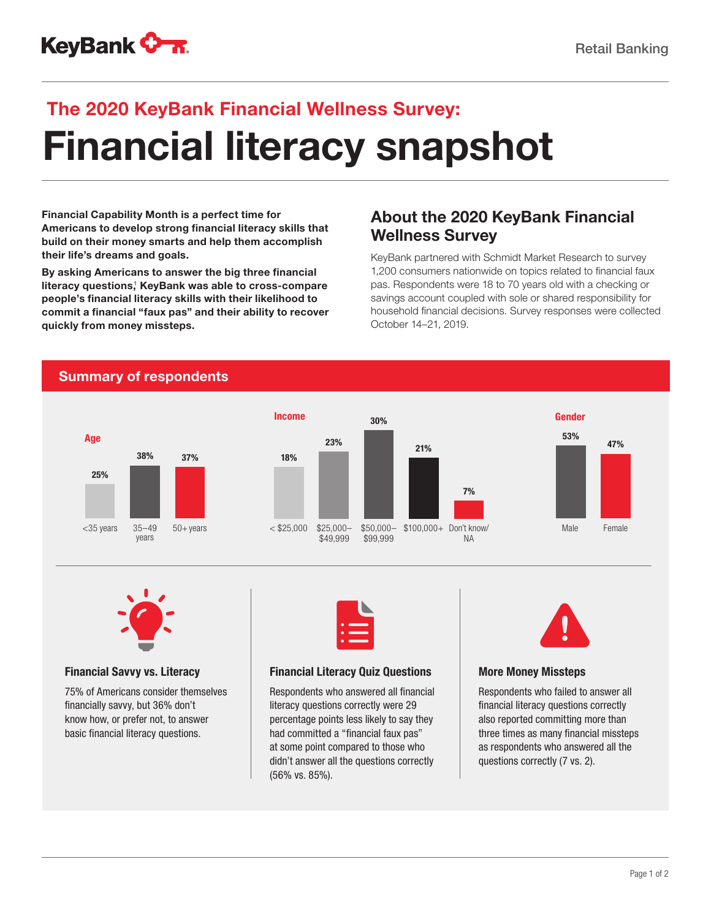

# Financial literacy snapshot The 2020 KeyBank Financial Wellness Survey:

Financial Capability Month is a perfect time for Americans to develop strong financial literacy skills that build on their money smarts and help them accomplish their life's dreams and goals.

By asking Americans to answer the big three financial literacy questions, KeyBank was able to cross-compare people's financial literacy skills with their likelihood to commit a financial "faux pas" and their ability to recover quickly from money missteps.

## About the 2020 KeyBank Financial Wellness Survey

KeyBank partnered with Schmidt Market Research to survey 1,200 consumers nationwide on topics related to financial faux pas. Respondents were 18 to 70 years old with a checking or savings account coupled with sole or shared responsibility for household financial decisions. Survey responses were collected October 14–21, 2019.

### Summary of respondents





#### Financial Savvy vs. Literacy

75% of Americans consider themselves financially savvy, but 36% don't know how, or prefer not, to answer basic financial literacy questions.



#### Financial Literacy Quiz Questions

Respondents who answered all financial literacy questions correctly were 29 percentage points less likely to say they had committed a "financial faux pas" at some point compared to those who didn't answer all the questions correctly (56% vs. 85%).



#### More Money Missteps

Respondents who failed to answer all financial literacy questions correctly also reported committing more than three times as many financial missteps as respondents who answered all the questions correctly (7 vs. 2).